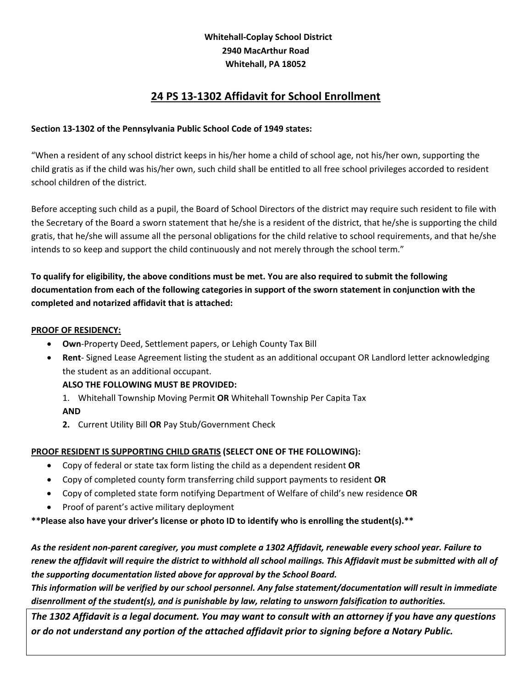### **Whitehall‐Coplay School District 2940 MacArthur Road Whitehall, PA 18052**

## **24 PS 13‐1302 Affidavit for School Enrollment**

#### **Section 13‐1302 of the Pennsylvania Public School Code of 1949 states:**

"When a resident of any school district keeps in his/her home a child of school age, not his/her own, supporting the child gratis as if the child was his/her own, such child shall be entitled to all free school privileges accorded to resident school children of the district.

Before accepting such child as a pupil, the Board of School Directors of the district may require such resident to file with the Secretary of the Board a sworn statement that he/she is a resident of the district, that he/she is supporting the child gratis, that he/she will assume all the personal obligations for the child relative to school requirements, and that he/she intends to so keep and support the child continuously and not merely through the school term."

### To qualify for eligibility, the above conditions must be met. You are also required to submit the following documentation from each of the following categories in support of the sworn statement in conjunction with the **completed and notarized affidavit that is attached:**

#### **PROOF OF RESIDENCY:**

- **Own**‐Property Deed, Settlement papers, or Lehigh County Tax Bill
- **Rent** Signed Lease Agreement listing the student as an additional occupant OR Landlord letter acknowledging the student as an additional occupant.

#### **ALSO THE FOLLOWING MUST BE PROVIDED:**

- 1. Whitehall Township Moving Permit **OR** Whitehall Township Per Capita Tax **AND**
- **2.** Current Utility Bill **OR** Pay Stub/Government Check

#### **PROOF RESIDENT IS SUPPORTING CHILD GRATIS (SELECT ONE OF THE FOLLOWING):**

- Copy of federal or state tax form listing the child as a dependent resident **OR**
- Copy of completed county form transferring child support payments to resident **OR**
- Copy of completed state form notifying Department of Welfare of child's new residence **OR**
- Proof of parent's active military deployment

**\*\*Please also have your driver's license or photo ID to identify who is enrolling the student(s).\*\***

As the resident non-parent caregiver, you must complete a 1302 Affidavit, renewable every school year. Failure to renew the affidavit will require the district to withhold all school mailings. This Affidavit must be submitted with all of *the supporting documentation listed above for approval by the School Board.* 

This information will be verified by our school personnel. Any false statement/documentation will result in immediate *disenrollment of the student(s), and is punishable by law, relating to unsworn falsification to authorities.*

The 1302 Affidavit is a legal document. You may want to consult with an attorney if you have any questions *or do not understand any portion of the attached affidavit prior to signing before a Notary Public.*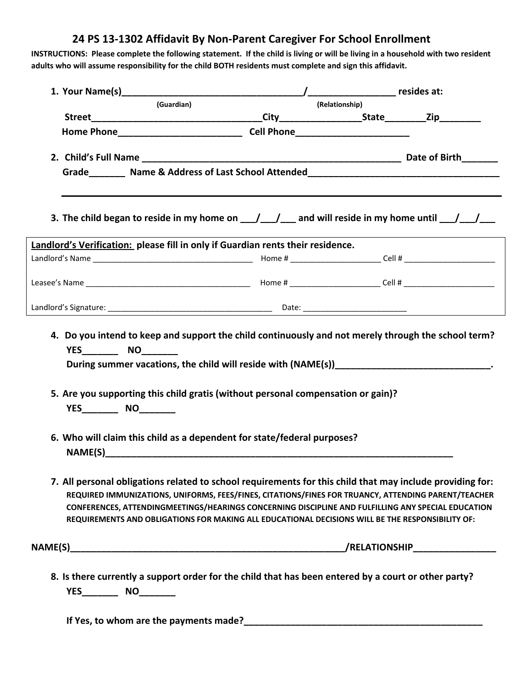# **24 PS 13‐1302 Affidavit By Non‐Parent Caregiver For School Enrollment**

INSTRUCTIONS: Please complete the following statement. If the child is living or will be living in a household with two resident adults who will assume responsibility for the child BOTH residents must complete and sign this affidavit.

| (Guardian)<br><b>Home Phone Cell Phone Cell Phone</b> |                                                                                                                                                             |                                                                                                                                                                                                                                                                                                                                                                                                                            |
|-------------------------------------------------------|-------------------------------------------------------------------------------------------------------------------------------------------------------------|----------------------------------------------------------------------------------------------------------------------------------------------------------------------------------------------------------------------------------------------------------------------------------------------------------------------------------------------------------------------------------------------------------------------------|
|                                                       |                                                                                                                                                             | (Relationship)                                                                                                                                                                                                                                                                                                                                                                                                             |
|                                                       |                                                                                                                                                             |                                                                                                                                                                                                                                                                                                                                                                                                                            |
|                                                       |                                                                                                                                                             |                                                                                                                                                                                                                                                                                                                                                                                                                            |
|                                                       |                                                                                                                                                             |                                                                                                                                                                                                                                                                                                                                                                                                                            |
|                                                       |                                                                                                                                                             | Grade Mame & Address of Last School Attended Mame & Address of Last School Attended Mame & Address of Last School Attended Mame 2018                                                                                                                                                                                                                                                                                       |
|                                                       |                                                                                                                                                             |                                                                                                                                                                                                                                                                                                                                                                                                                            |
|                                                       |                                                                                                                                                             | 3. The child began to reside in my home on $\underline{\hspace{1cm}}$ / $\underline{\hspace{1cm}}$ and will reside in my home until $\underline{\hspace{1cm}}$                                                                                                                                                                                                                                                             |
|                                                       | Landlord's Verification: please fill in only if Guardian rents their residence.                                                                             |                                                                                                                                                                                                                                                                                                                                                                                                                            |
|                                                       |                                                                                                                                                             |                                                                                                                                                                                                                                                                                                                                                                                                                            |
|                                                       |                                                                                                                                                             |                                                                                                                                                                                                                                                                                                                                                                                                                            |
|                                                       |                                                                                                                                                             |                                                                                                                                                                                                                                                                                                                                                                                                                            |
|                                                       | 5. Are you supporting this child gratis (without personal compensation or gain)?<br>6. Who will claim this child as a dependent for state/federal purposes? |                                                                                                                                                                                                                                                                                                                                                                                                                            |
|                                                       |                                                                                                                                                             | 7. All personal obligations related to school requirements for this child that may include providing for:<br>REQUIRED IMMUNIZATIONS, UNIFORMS, FEES/FINES, CITATIONS/FINES FOR TRUANCY, ATTENDING PARENT/TEACHER<br>CONFERENCES, ATTENDINGMEETINGS/HEARINGS CONCERNING DISCIPLINE AND FULFILLING ANY SPECIAL EDUCATION<br>REQUIREMENTS AND OBLIGATIONS FOR MAKING ALL EDUCATIONAL DECISIONS WILL BE THE RESPONSIBILITY OF: |
|                                                       |                                                                                                                                                             |                                                                                                                                                                                                                                                                                                                                                                                                                            |
|                                                       |                                                                                                                                                             |                                                                                                                                                                                                                                                                                                                                                                                                                            |

**If Yes, to whom are the payments made?\_\_\_\_\_\_\_\_\_\_\_\_\_\_\_\_\_\_\_\_\_\_\_\_\_\_\_\_\_\_\_\_\_\_\_\_\_\_\_\_\_\_\_\_\_\_**